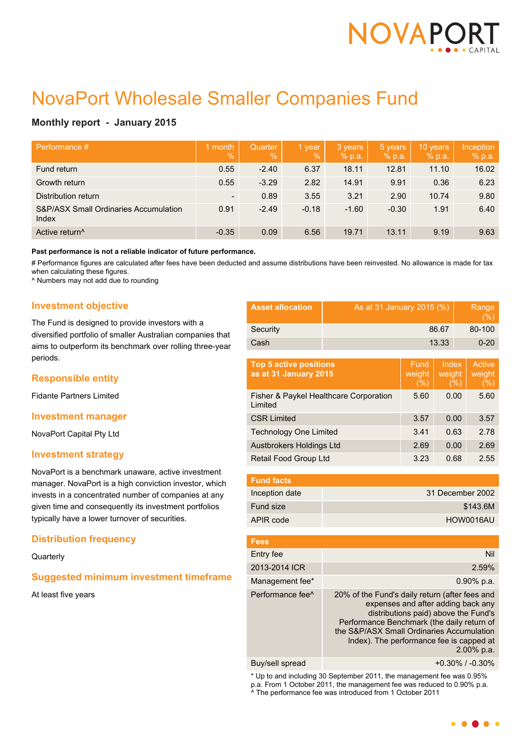

# NovaPort Wholesale Smaller Companies Fund

# **Monthly report - January 2015**

| Performance #                                  | 1 month<br>$\overline{\mathbb{V}}_0$ | Quarter<br>$\sqrt{2}$ | 1 year<br>$\%$ | 3 years<br>% p.a. | 5 years<br>% p.a. | 10 years<br>% p.a. | Inception<br>% p.a. |
|------------------------------------------------|--------------------------------------|-----------------------|----------------|-------------------|-------------------|--------------------|---------------------|
| Fund return                                    | 0.55                                 | $-2.40$               | 6.37           | 18.11             | 12.81             | 11.10              | 16.02               |
| Growth return                                  | 0.55                                 | $-3.29$               | 2.82           | 14.91             | 9.91              | 0.36               | 6.23                |
| Distribution return                            | $\overline{\phantom{a}}$             | 0.89                  | 3.55           | 3.21              | 2.90              | 10.74              | 9.80                |
| S&P/ASX Small Ordinaries Accumulation<br>Index | 0.91                                 | $-2.49$               | $-0.18$        | $-1.60$           | $-0.30$           | 1.91               | 6.40                |
| Active return <sup>^</sup>                     | $-0.35$                              | 0.09                  | 6.56           | 19.71             | 13.11             | 9.19               | 9.63                |

**Past performance is not a reliable indicator of future performance.**

# Performance figures are calculated after fees have been deducted and assume distributions have been reinvested. No allowance is made for tax when calculating these figures.

^ Numbers may not add due to rounding

## **Investment objective**

The Fund is designed to provide investors with a diversified portfolio of smaller Australian companies that aims to outperform its benchmark over rolling three-year periods.

# **Responsible entity**

Fidante Partners Limited

## **Investment manager**

NovaPort Capital Pty Ltd

## **Investment strategy**

NovaPort is a benchmark unaware, active investment manager. NovaPort is a high conviction investor, which invests in a concentrated number of companies at any given time and consequently its investment portfolios typically have a lower turnover of securities.

# **Distribution frequency**

**Quarterly** 

# **Suggested minimum investment timeframe**

At least five years

| <b>Asset allocation</b> | As at 31 January 2015 (%) | Range<br>(% ) |
|-------------------------|---------------------------|---------------|
| Security                | 86.67                     | 80-100        |
| Cash                    | 13.33                     | $0 - 20$      |

| Fund<br>weight<br>(%) | Index<br>weight<br>(%) | Active<br>weight<br>(%) |
|-----------------------|------------------------|-------------------------|
| 5.60                  | 0.00                   | 5.60                    |
| 3.57                  | 0.00                   | 3.57                    |
| 3.41                  | 0.63                   | 2.78                    |
| 2.69                  | 0.00                   | 2.69                    |
| 3.23                  | 0.68                   | 2.55                    |
|                       |                        |                         |

| <b>Fund facts</b> |                  |
|-------------------|------------------|
| Inception date    | 31 December 2002 |
| Fund size         | \$143.6M         |
| APIR code         | HOW0016AU        |

| <b>Fees</b>                  |                                                                                                                                                                                                                                                                                      |
|------------------------------|--------------------------------------------------------------------------------------------------------------------------------------------------------------------------------------------------------------------------------------------------------------------------------------|
| Entry fee                    | Nil                                                                                                                                                                                                                                                                                  |
| 2013-2014 ICR                | 2.59%                                                                                                                                                                                                                                                                                |
| Management fee*              | $0.90\%$ p.a.                                                                                                                                                                                                                                                                        |
| Performance fee <sup>^</sup> | 20% of the Fund's daily return (after fees and<br>expenses and after adding back any<br>distributions paid) above the Fund's<br>Performance Benchmark (the daily return of<br>the S&P/ASX Small Ordinaries Accumulation<br>Index). The performance fee is capped at<br>$2.00\%$ p.a. |
|                              |                                                                                                                                                                                                                                                                                      |

Buy/sell spread +0.30% / -0.30%

\* Up to and including 30 September 2011, the management fee was 0.95% p.a. From 1 October 2011, the management fee was reduced to 0.90% p.a. ^ The performance fee was introduced from 1 October 2011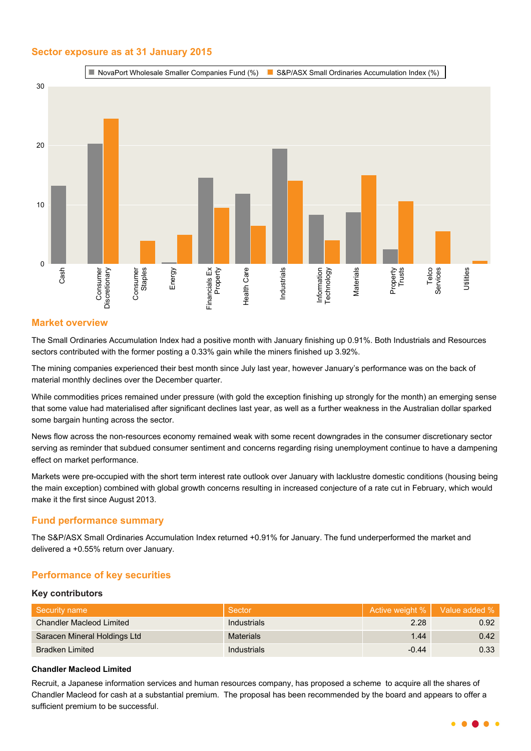# **Sector exposure as at 31 January 2015**



# **Market overview**

The Small Ordinaries Accumulation Index had a positive month with January finishing up 0.91%. Both Industrials and Resources sectors contributed with the former posting a 0.33% gain while the miners finished up 3.92%.

The mining companies experienced their best month since July last year, however January's performance was on the back of material monthly declines over the December quarter.

While commodities prices remained under pressure (with gold the exception finishing up strongly for the month) an emerging sense that some value had materialised after significant declines last year, as well as a further weakness in the Australian dollar sparked some bargain hunting across the sector.

News flow across the non-resources economy remained weak with some recent downgrades in the consumer discretionary sector serving as reminder that subdued consumer sentiment and concerns regarding rising unemployment continue to have a dampening effect on market performance.

Markets were pre-occupied with the short term interest rate outlook over January with lacklustre domestic conditions (housing being the main exception) combined with global growth concerns resulting in increased conjecture of a rate cut in February, which would make it the first since August 2013.

## **Fund performance summary**

The S&P/ASX Small Ordinaries Accumulation Index returned +0.91% for January. The fund underperformed the market and delivered a +0.55% return over January.

# **Performance of key securities**

#### **Key contributors**

| Security name                   | Sector           |         | Active weight %   Value added % |
|---------------------------------|------------------|---------|---------------------------------|
| <b>Chandler Macleod Limited</b> | Industrials      | 2.28    | 0.92                            |
| Saracen Mineral Holdings Ltd    | <b>Materials</b> | 1.44    | 0.42                            |
| <b>Bradken Limited</b>          | Industrials      | $-0.44$ | 0.33                            |

#### **Chandler Macleod Limited**

Recruit, a Japanese information services and human resources company, has proposed a scheme to acquire all the shares of Chandler Macleod for cash at a substantial premium. The proposal has been recommended by the board and appears to offer a sufficient premium to be successful.